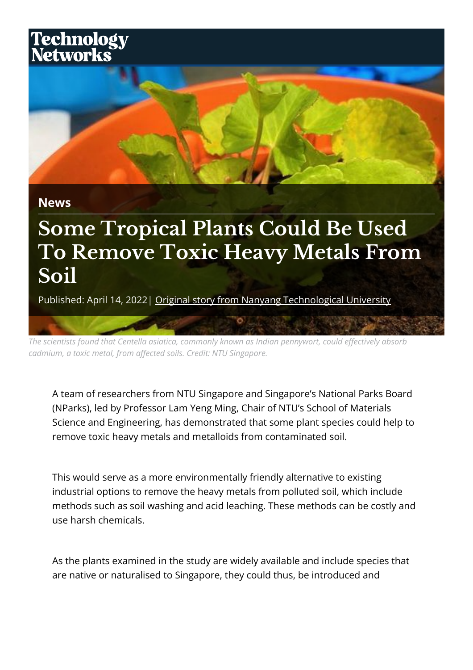## Technology<br>Networks



**News**

## **Some Tropical Plants Could Be Used To Remove Toxic Heavy Metals From Soil**

Published: April 14, 2022 | [Original story from Nanyang Technological University](https://www.technologynetworks.com/tn/go/lc/view-source-360639?utm_source=360638&utm_medium=pdf&utm_campaign=pdf_lead_conversion%22)

*The scientists found that Centella asiatica, commonly known as Indian pennywort, could effectively absorb cadmium, a toxic metal, from affected soils. Credit: NTU Singapore.*

A team of researchers from NTU Singapore and Singapore's National Parks Board (NParks), led by Professor Lam Yeng Ming, Chair of NTU's School of Materials Science and Engineering, has demonstrated that some plant species could help to remove toxic heavy metals and metalloids from contaminated soil.

This would serve as a more environmentally friendly alternative to existing industrial options to remove the heavy metals from polluted soil, which include methods such as soil washing and acid leaching. These methods can be costly and use harsh chemicals.

As the plants examined in the study are widely available and include species that are native or naturalised to Singapore, they could thus, be introduced and